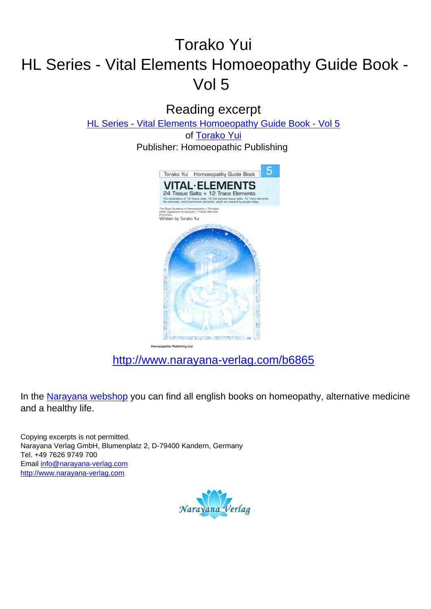## Torako Yui HL Series - Vital Elements Homoeopathy Guide Book - Vol 5

Reading excerpt

[HL Series - Vital Elements Homoeopathy Guide Book - Vol 5](http://www.narayana-verlag.com/HL-Series-Vital-Elements-Homoeopathy-Guide-Book-Vol-5-Torako-Yui/b6865/partner/leseprobe)

of [Torako Yui](http://www.narayana-verlag.com/Torako-Yui/a1968/partner/leseprobe) Publisher: Homoeopathic Publishing



[http://www.narayana-verlag.com/b6865](http://www.narayana-verlag.com/HL-Series-Vital-Elements-Homoeopathy-Guide-Book-Vol-5-Torako-Yui/b6865/partner/leseprobe)

In the [Narayana webshop](http://www.narayana-verlag.com/partner/leseprobe) you can find all english books on homeopathy, alternative medicine and a healthy life.

Copying excerpts is not permitted. Narayana Verlag GmbH, Blumenplatz 2, D-79400 Kandern, Germany Tel. +49 7626 9749 700 Email [info@narayana-verlag.com](mailto:info@narayana-verlag.com) [http://www.narayana-verlag.com](http://www.narayana-verlag.com/partner/leseprobe)

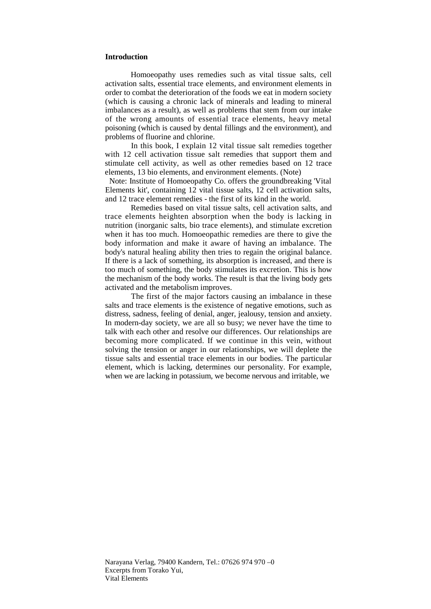## **Introduction**

Homoeopathy uses remedies such as vital tissue salts, cell activation salts, essential trace elements, and environment elements in order to combat the deterioration of the foods we eat in modern society (which is causing a chronic lack of minerals and leading to mineral imbalances as a result), as well as problems that stem from our intake of the wrong amounts of essential trace elements, heavy metal poisoning (which is caused by dental fillings and the environment), and problems of fluorine and chlorine.

In this book, I explain 12 vital tissue salt remedies together with 12 cell activation tissue salt remedies that support them and stimulate cell activity, as well as other remedies based on 12 trace elements, 13 bio elements, and environment elements. (Note)

Note: Institute of Homoeopathy Co. offers the groundbreaking 'Vital Elements kit', containing 12 vital tissue salts, 12 cell activation salts, and 12 trace element remedies - the first of its kind in the world.

Remedies based on vital tissue salts, cell activation salts, and trace elements heighten absorption when the body is lacking in nutrition (inorganic salts, bio trace elements), and stimulate excretion when it has too much. Homoeopathic remedies are there to give the body information and make it aware of having an imbalance. The body's natural healing ability then tries to regain the original balance. If there is a lack of something, its absorption is increased, and there is too much of something, the body stimulates its excretion. This is how the mechanism of the body works. The result is that the living body gets activated and the metabolism improves.

The first of the major factors causing an imbalance in these salts and trace elements is the existence of negative emotions, such as distress, sadness, feeling of denial, anger, jealousy, tension and anxiety. In modern-day society, we are all so busy; we never have the time to talk with each other and resolve our differences. Our relationships are becoming more complicated. If we continue in this vein, without solving the tension or anger in our relationships, we will deplete the tissue salts and essential trace elements in our bodies. The particular element, which is lacking, determines our personality. For example, when we are lacking in potassium, we become nervous and irritable, we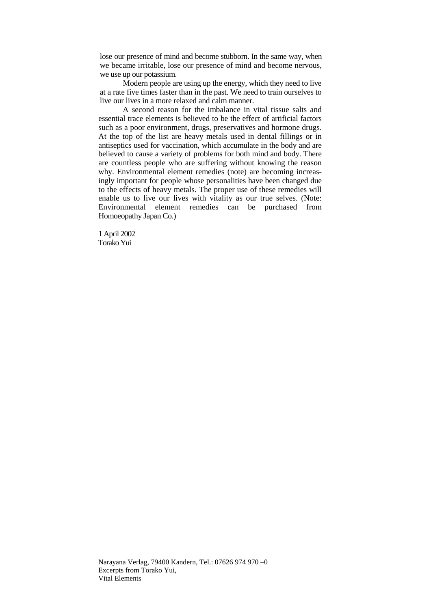lose our presence of mind and become stubborn. In the same way, when we became irritable, lose our presence of mind and become nervous, we use up our potassium.

Modern people are using up the energy, which they need to live at a rate five times faster than in the past. We need to train ourselves to live our lives in a more relaxed and calm manner.

A second reason for the imbalance in vital tissue salts and essential trace elements is believed to be the effect of artificial factors such as a poor environment, drugs, preservatives and hormone drugs. At the top of the list are heavy metals used in dental fillings or in antiseptics used for vaccination, which accumulate in the body and are believed to cause a variety of problems for both mind and body. There are countless people who are suffering without knowing the reason why. Environmental element remedies (note) are becoming increasingly important for people whose personalities have been changed due to the effects of heavy metals. The proper use of these remedies will enable us to live our lives with vitality as our true selves. (Note: Environmental element remedies can be purchased from Homoeopathy Japan Co.)

1 April 2002 Torako Yui